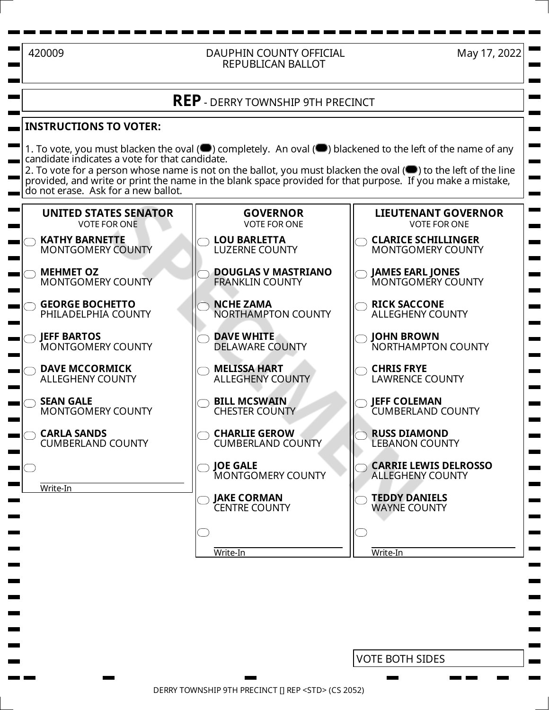## 420009 DAUPHIN COUNTY OFFICIAL REPUBLICAN BALLOT

May 17, 2022

## **REP** - DERRY TOWNSHIP 9TH PRECINCT

## **INSTRUCTIONS TO VOTER:**

1. To vote, you must blacken the oval (C) completely. An oval (O) blackened to the left of the name of any candidate indicates a vote for that candidate.

2. To vote for a person whose name is not on the ballot, you must blacken the oval  $($ **)** to the left of the line provided, and write or print the name in the blank space provided for that purpose. If you make a mistake, do not erase. Ask for a new ballot.